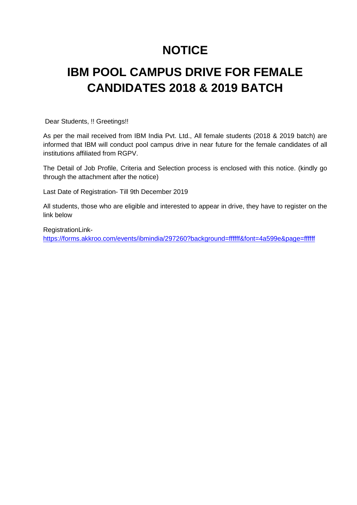## **NOTICE**

# **IBM POOL CAMPUS DRIVE FOR FEMALE CANDIDATES 2018 & 2019 BATCH**

Dear Students, !! Greetings!!

As per the mail received from IBM India Pvt. Ltd., All female students (2018 & 2019 batch) are informed that IBM will conduct pool campus drive in near future for the female candidates of all institutions affiliated from RGPV.

The Detail of Job Profile, Criteria and Selection process is enclosed with this notice. (kindly go through the attachment after the notice)

Last Date of Registration- Till 9th December 2019

All students, those who are eligible and interested to appear in drive, they have to register on the link below

RegistrationLink https://forms.akkroo.com/events/ibmindia/297260?background=ffffff&font=4a599e&page=ffffff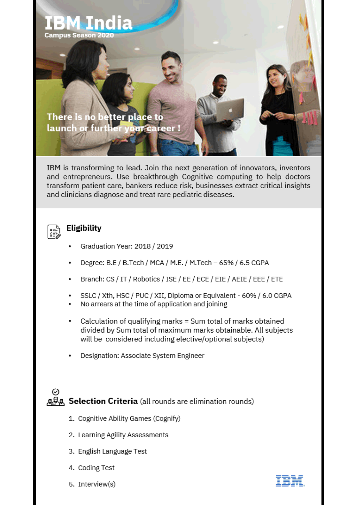

IBM is transforming to lead. Join the next generation of innovators, inventors and entrepreneurs. Use breakthrough Cognitive computing to help doctors transform patient care, bankers reduce risk, businesses extract critical insights and clinicians diagnose and treat rare pediatric diseases.



## **Eligibility**

- Graduation Year: 2018 / 2019
- Degree: B.E / B.Tech / MCA / M.E. / M.Tech 65% / 6.5 CGPA
- Branch: CS / IT / Robotics / ISE / EE / ECE / EIE / AEIE / EEE / ETE
- SSLC / Xth, HSC / PUC / XII, Diploma or Equivalent 60% / 6.0 CGPA
- No arrears at the time of application and joining
- Calculation of qualifying marks = Sum total of marks obtained ٠ divided by Sum total of maximum marks obtainable. All subjects will be considered including elective/optional subjects)
- Designation: Associate System Engineer



- 1. Cognitive Ability Games (Cognify)
- 2. Learning Agility Assessments
- 3. English Language Test
- 4. Coding Test
- 5. Interview(s)

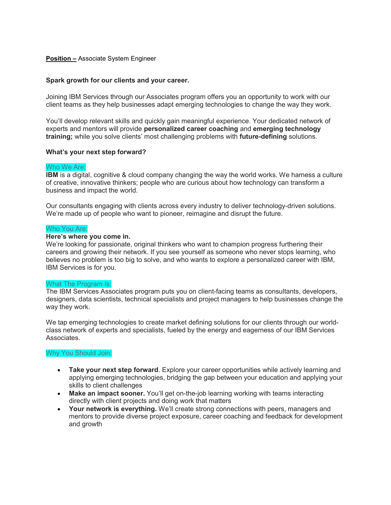#### Position – Associate System Engineer

#### Spark growth for our clients and your career.

Joining IBM Services through our Associates program offers you an opportunity to work with our client teams as they help businesses adapt emerging technologies to change the way they work.

You'll develop relevant skills and quickly gain meaningful experience. Your dedicated network of experts and mentors will provide personalized career coaching and emerging technology training; while you solve clients' most challenging problems with future-defining solutions.

#### What's your next step forward?

#### Who We Are:

IBM is a digital, cognitive & cloud company changing the way the world works. We harness a culture of creative, innovative thinkers; people who are curious about how technology can transform a business and impact the world.

Our consultants engaging with clients across every industry to deliver technology-driven solutions. We're made up of people who want to pioneer, reimagine and disrupt the future.

#### Who You Are:

#### Here's where you come in.

We're looking for passionate, original thinkers who want to champion progress furthering their careers and growing their network. If you see yourself as someone who never stops learning, who believes no problem is too big to solve, and who wants to explore a personalized career with IBM, IBM Services is for you.

#### What The Program Is:

The IBM Services Associates program puts you on client-facing teams as consultants, developers, designers, data scientists, technical specialists and project managers to help businesses change the way they work.

We tap emerging technologies to create market defining solutions for our clients through our worldclass network of experts and specialists, fueled by the energy and eagerness of our IBM Services Associates.

#### Why You Should Join:

- Take your next step forward. Explore your career opportunities while actively learning and applying emerging technologies, bridging the gap between your education and applying your skills to client challenges
- Make an impact sooner. You'll get on-the-job learning working with teams interacting directly with client projects and doing work that matters
- Your network is everything. We'll create strong connections with peers, managers and mentors to provide diverse project exposure, career coaching and feedback for development and growth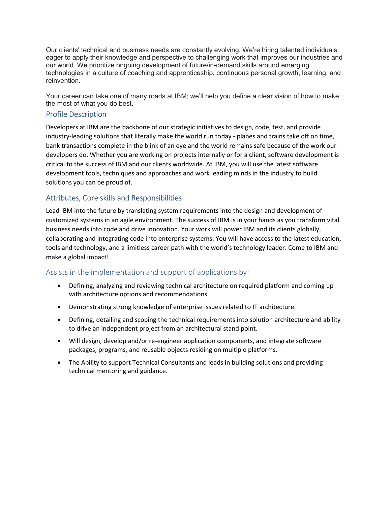Our clients' technical and business needs are constantly evolving. We're hiring talented individuals eager to apply their knowledge and perspective to challenging work that improves our industries and our world. We prioritize ongoing development of future/in-demand skills around emerging technologies in a culture of coaching and apprenticeship, continuous personal growth, learning, and reinvention.

Your career can take one of many roads at IBM; we'll help you define a clear vision of how to make the most of what you do best.

### Profile Description

Developers at IBM are the backbone of our strategic initiatives to design, code, test, and provide industry-leading solutions that literally make the world run today - planes and trains take off on time, bank transactions complete in the blink of an eye and the world remains safe because of the work our developers do. Whether you are working on projects internally or for a client, software development is critical to the success of IBM and our clients worldwide. At IBM, you will use the latest software development tools, techniques and approaches and work leading minds in the industry to build solutions you can be proud of.

## Attributes, Core skills and Responsibilities

Lead IBM into the future by translating system requirements into the design and development of customized systems in an agile environment. The success of IBM is in your hands as you transform vital business needs into code and drive innovation. Your work will power IBM and its clients globally, collaborating and integrating code into enterprise systems. You will have access to the latest education, tools and technology, and a limitless career path with the world's technology leader. Come to IBM and make a global impact!

## Assists in the implementation and support of applications by:

- Defining, analyzing and reviewing technical architecture on required platform and coming up with architecture options and recommendations
- Demonstrating strong knowledge of enterprise issues related to IT architecture.
- Defining, detailing and scoping the technical requirements into solution architecture and ability to drive an independent project from an architectural stand point.
- Will design, develop and/or re-engineer application components, and integrate software packages, programs, and reusable objects residing on multiple platforms.
- The Ability to support Technical Consultants and leads in building solutions and providing technical mentoring and guidance.